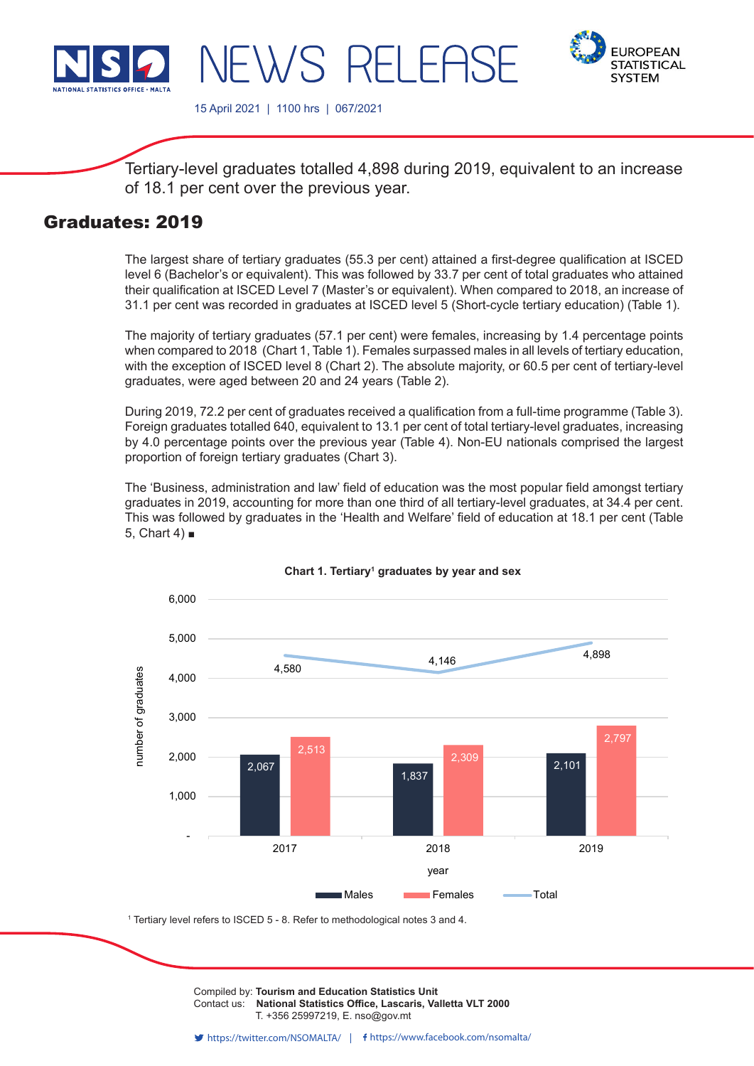

**FUROPFAN STATISTICAL SYSTEM** 

15 April 2021 | 1100 hrs | 067/2021

WS RELEI

Tertiary-level graduates totalled 4,898 during 2019, equivalent to an increase of 18.1 per cent over the previous year.

# Graduates: 2019

The largest share of tertiary graduates (55.3 per cent) attained a first-degree qualification at ISCED level 6 (Bachelor's or equivalent). This was followed by 33.7 per cent of total graduates who attained their qualification at ISCED Level 7 (Master's or equivalent). When compared to 2018, an increase of 31.1 per cent was recorded in graduates at ISCED level 5 (Short-cycle tertiary education) (Table 1).

The majority of tertiary graduates (57.1 per cent) were females, increasing by 1.4 percentage points when compared to 2018 (Chart 1, Table 1). Females surpassed males in all levels of tertiary education, with the exception of ISCED level 8 (Chart 2). The absolute majority, or 60.5 per cent of tertiary-level graduates, were aged between 20 and 24 years (Table 2).

During 2019, 72.2 per cent of graduates received a qualification from a full-time programme (Table 3). Foreign graduates totalled 640, equivalent to 13.1 per cent of total tertiary-level graduates, increasing by 4.0 percentage points over the previous year (Table 4). Non-EU nationals comprised the largest proportion of foreign tertiary graduates (Chart 3).

The 'Business, administration and law' field of education was the most popular field amongst tertiary graduates in 2019, accounting for more than one third of all tertiary-level graduates, at 34.4 per cent. This was followed by graduates in the 'Health and Welfare' field of education at 18.1 per cent (Table 5, Chart  $4$ )  $\blacksquare$ 



# **Chart 1. Tertiary<sup>1</sup> graduates by year and sex**

1 Tertiary level refers to ISCED 5 - 8. Refer to methodological notes 3 and 4.

Compiled by: **Tourism and Education Statistics Unit**<br>Contact use. **National Statistics Office, Locatric Vallatte VLT 2000** Contact us: National Statistics Office, Lascaris, Valletta VLT 2000  $\sum_{i=1}^{n} \sum_{i=1}^{n} \sum_{j=1}^{n} \sum_{j=1}^{n} \sum_{j=1}^{n} \sum_{j=1}^{n}$ T. +356 25997219, E. nso@gov.mt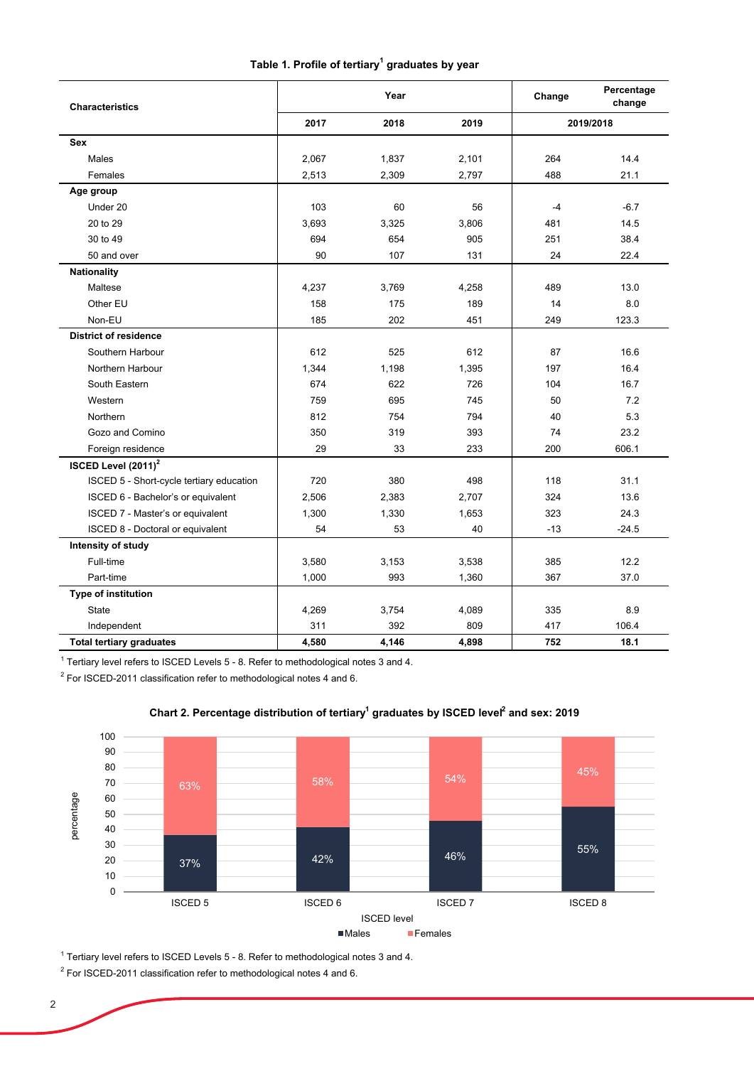| Table 1. Profile of tertiary <sup>1</sup> graduates by year |  |  |
|-------------------------------------------------------------|--|--|
|-------------------------------------------------------------|--|--|

| <b>Characteristics</b>                   |                      | Year  | Change | Percentage<br>change |         |
|------------------------------------------|----------------------|-------|--------|----------------------|---------|
|                                          | 2018<br>2019<br>2017 |       |        | 2019/2018            |         |
| Sex                                      |                      |       |        |                      |         |
| Males                                    | 2,067                | 1,837 | 2,101  | 264                  | 14.4    |
| Females                                  | 2,513                | 2,309 | 2,797  | 488                  | 21.1    |
| Age group                                |                      |       |        |                      |         |
| Under 20                                 | 103                  | 60    | 56     | $-4$                 | $-6.7$  |
| 20 to 29                                 | 3,693                | 3,325 | 3,806  | 481                  | 14.5    |
| 30 to 49                                 | 694                  | 654   | 905    | 251                  | 38.4    |
| 50 and over                              | 90                   | 107   | 131    | 24                   | 22.4    |
| <b>Nationality</b>                       |                      |       |        |                      |         |
| Maltese                                  | 4,237                | 3,769 | 4,258  | 489                  | 13.0    |
| Other EU                                 | 158                  | 175   | 189    | 14                   | 8.0     |
| Non-EU                                   | 185                  | 202   | 451    | 249                  | 123.3   |
| <b>District of residence</b>             |                      |       |        |                      |         |
| Southern Harbour                         | 612                  | 525   | 612    | 87                   | 16.6    |
| Northern Harbour                         | 1,344                | 1,198 | 1,395  | 197                  | 16.4    |
| South Eastern                            | 674                  | 622   | 726    | 104                  | 16.7    |
| Western                                  | 759                  | 695   | 745    | 50                   | 7.2     |
| Northern                                 | 812                  | 754   | 794    | 40                   | 5.3     |
| Gozo and Comino                          | 350                  | 319   | 393    | 74                   | 23.2    |
| Foreign residence                        | 29                   | 33    | 233    | 200                  | 606.1   |
| ISCED Level (2011) <sup>2</sup>          |                      |       |        |                      |         |
| ISCED 5 - Short-cycle tertiary education | 720                  | 380   | 498    | 118                  | 31.1    |
| ISCED 6 - Bachelor's or equivalent       | 2,506                | 2,383 | 2,707  | 324                  | 13.6    |
| ISCED 7 - Master's or equivalent         | 1,300                | 1,330 | 1,653  | 323                  | 24.3    |
| ISCED 8 - Doctoral or equivalent         | 54                   | 53    | 40     | $-13$                | $-24.5$ |
| Intensity of study                       |                      |       |        |                      |         |
| Full-time                                | 3,580                | 3,153 | 3,538  | 385                  | 12.2    |
| Part-time                                | 1,000                | 993   | 1,360  | 367                  | 37.0    |
| Type of institution                      |                      |       |        |                      |         |
| <b>State</b>                             | 4,269                | 3,754 | 4,089  | 335                  | 8.9     |
| Independent                              | 311                  | 392   | 809    | 417                  | 106.4   |
| <b>Total tertiary graduates</b>          | 4,580                | 4,146 | 4,898  | 752                  | 18.1    |

 $^{\rm 1}$  Tertiary level refers to ISCED Levels 5 - 8. Refer to methodological notes 3 and 4.

 $^2$  For ISCED-2011 classification refer to methodological notes 4 and 6.



# Chart 2. Percentage distribution of tertiary<sup>1</sup> graduates by ISCED level<sup>2</sup> and sex: 2019

 $^{\rm 1}$  Tertiary level refers to ISCED Levels 5 - 8. Refer to methodological notes 3 and 4.

 $^2$  For ISCED-2011 classification refer to methodological notes 4 and 6.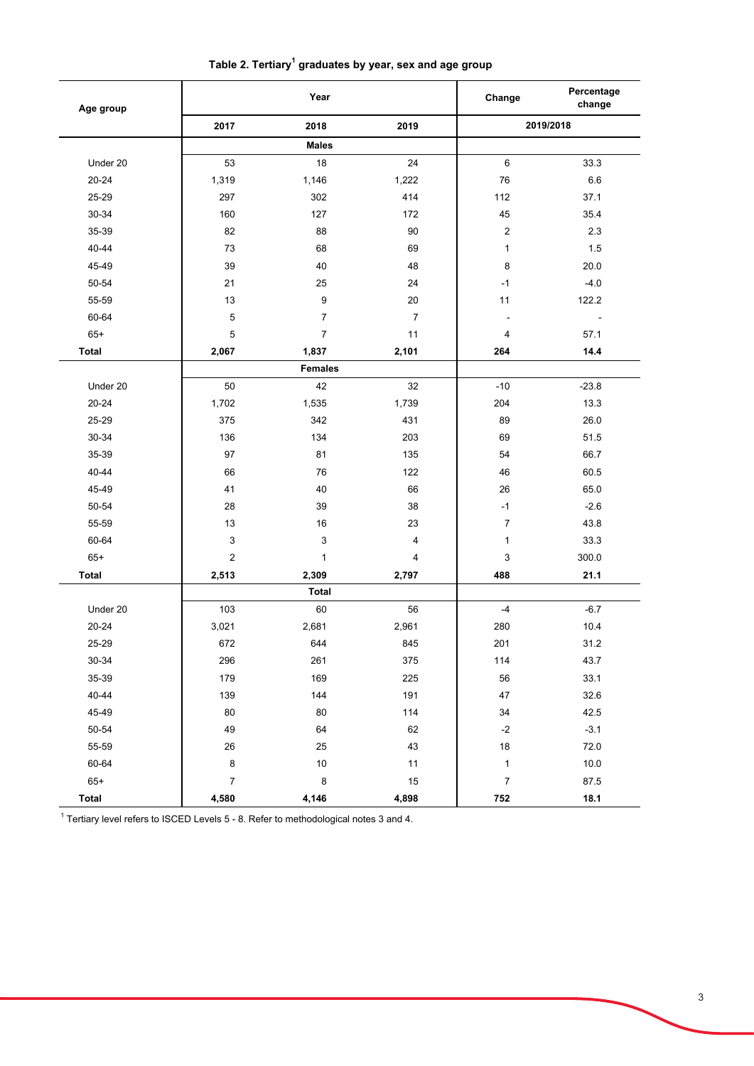| Age group    |                  | Year                      |                         | Change           | Percentage<br>change |
|--------------|------------------|---------------------------|-------------------------|------------------|----------------------|
|              | 2017             | 2018                      | 2019                    |                  | 2019/2018            |
|              |                  | <b>Males</b>              |                         |                  |                      |
| Under 20     | 53               | 18                        | 24                      | 6                | 33.3                 |
| $20 - 24$    | 1,319            | 1,146                     | 1,222                   | 76               | 6.6                  |
| 25-29        | 297              | 302                       | 414                     | 112              | 37.1                 |
| 30-34        | 160              | 127                       | 172                     | 45               | 35.4                 |
| 35-39        | 82               | 88                        | 90                      | $\sqrt{2}$       | 2.3                  |
| 40-44        | 73               | 68                        | 69                      | 1                | 1.5                  |
| 45-49        | 39               | 40                        | 48                      | 8                | 20.0                 |
| 50-54        | 21               | 25                        | 24                      | $-1$             | $-4.0$               |
| 55-59        | 13               | 9                         | 20                      | 11               | 122.2                |
| 60-64        | 5                | $\boldsymbol{7}$          | $\overline{7}$          |                  | $\blacksquare$       |
| $65+$        | $\mathbf 5$      | $\overline{7}$            | 11                      | 4                | 57.1                 |
| <b>Total</b> | 2,067            | 1,837                     | 2,101                   | 264              | 14.4                 |
|              |                  | <b>Females</b>            |                         |                  |                      |
| Under 20     | 50               | 42                        | 32                      | $-10$            | $-23.8$              |
| $20 - 24$    | 1,702            | 1,535                     | 1,739                   | 204              | 13.3                 |
| 25-29        | 375              | 342                       | 431                     | 89               | 26.0                 |
| 30-34        | 136              | 134                       | 203                     | 69               | 51.5                 |
| 35-39        | 97               | 81                        | 135                     | 54               | 66.7                 |
| 40-44        | 66               | 76                        | 122                     | 46               | 60.5                 |
| 45-49        | 41               | 40                        | 66                      | 26               | 65.0                 |
| 50-54        | 28               | 39                        | 38                      | $-1$             | $-2.6$               |
| 55-59        | 13               | 16                        | 23                      | $\overline{7}$   | 43.8                 |
| 60-64        | 3                | $\ensuremath{\mathsf{3}}$ | $\overline{\mathbf{4}}$ | 1                | 33.3                 |
| $65+$        | $\sqrt{2}$       | $\mathbf{1}$              | 4                       | 3                | 300.0                |
| <b>Total</b> | 2,513            | 2,309                     | 2,797                   | 488              | 21.1                 |
|              |                  | <b>Total</b>              |                         |                  |                      |
| Under 20     | 103              | 60                        | 56                      | $-4$             | $-6.7$               |
| $20 - 24$    | 3,021            | 2,681                     | 2,961                   | 280              | 10.4                 |
| 25-29        | 672              | 644                       | 845                     | 201              | 31.2                 |
| 30-34        | 296              | 261                       | 375                     | 114              | 43.7                 |
| 35-39        | 179              | 169                       | 225                     | 56               | 33.1                 |
| 40-44        | 139              | 144                       | 191                     | 47               | 32.6                 |
| 45-49        | 80               | 80                        | 114                     | 34               | 42.5                 |
| $50 - 54$    | 49               | 64                        | 62                      | $-2$             | $-3.1$               |
| 55-59        | 26               | 25                        | 43                      | 18               | 72.0                 |
| 60-64        | $\bf 8$          | $10$                      | 11                      | $\mathbf{1}$     | 10.0                 |
| $65+$        | $\boldsymbol{7}$ | $\bf 8$                   | $15$                    | $\boldsymbol{7}$ | 87.5                 |
| <b>Total</b> | 4,580            | 4,146                     | 4,898                   | 752              | 18.1                 |

**Table 2. Tertiary1 graduates by year, sex and age group**

 $^{\rm 1}$  Tertiary level refers to ISCED Levels 5 - 8. Refer to methodological notes 3 and 4.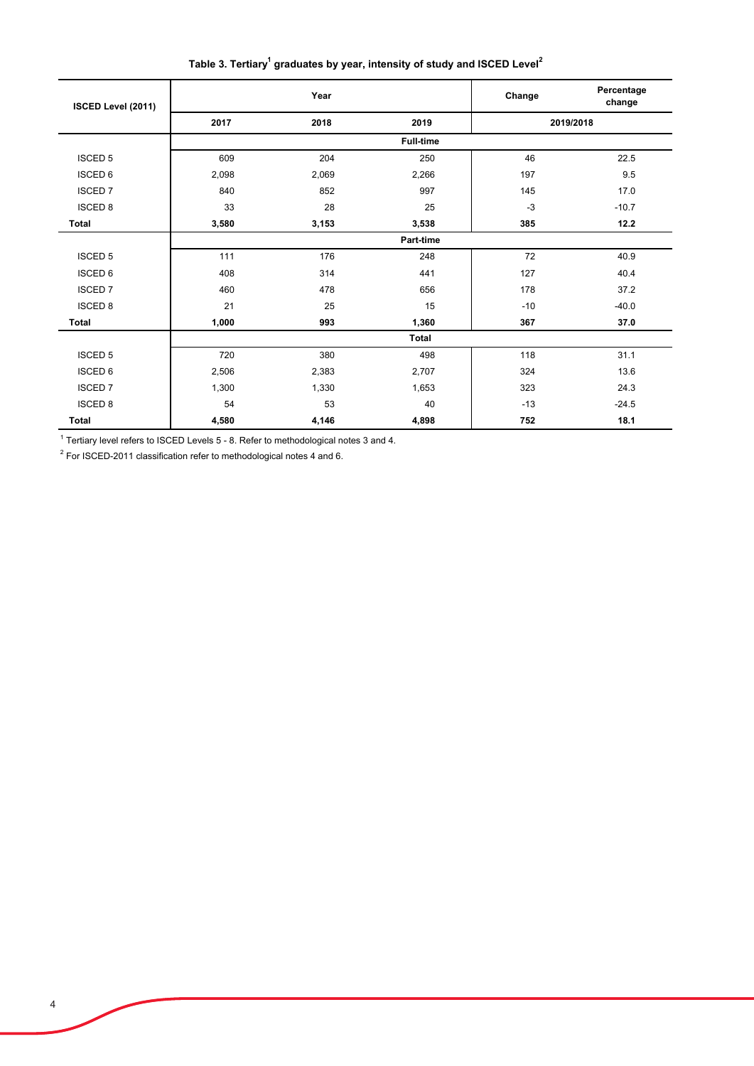Table 3. Tertiary<sup>1</sup> graduates by year, intensity of study and ISCED Level<sup>2</sup>

| ISCED Level (2011) |       | Year  |                  | Change | Percentage<br>change |
|--------------------|-------|-------|------------------|--------|----------------------|
|                    | 2017  | 2018  | 2019             |        | 2019/2018            |
|                    |       |       | <b>Full-time</b> |        |                      |
| <b>ISCED 5</b>     | 609   | 204   | 250              | 46     | 22.5                 |
| <b>ISCED 6</b>     | 2,098 | 2,069 | 2,266            | 197    | 9.5                  |
| <b>ISCED 7</b>     | 840   | 852   | 997              | 145    | 17.0                 |
| <b>ISCED 8</b>     | 33    | 28    | 25               | $-3$   | $-10.7$              |
| <b>Total</b>       | 3,580 | 3,153 | 3,538            | 385    | 12.2                 |
|                    |       |       | Part-time        |        |                      |
| <b>ISCED 5</b>     | 111   | 176   | 248              | 72     | 40.9                 |
| <b>ISCED 6</b>     | 408   | 314   | 441              | 127    | 40.4                 |
| <b>ISCED7</b>      | 460   | 478   | 656              | 178    | 37.2                 |
| <b>ISCED 8</b>     | 21    | 25    | 15               | $-10$  | $-40.0$              |
| Total              | 1,000 | 993   | 1,360            | 367    | 37.0                 |
|                    |       |       | <b>Total</b>     |        |                      |
| <b>ISCED 5</b>     | 720   | 380   | 498              | 118    | 31.1                 |
| <b>ISCED 6</b>     | 2,506 | 2,383 | 2,707            | 324    | 13.6                 |
| <b>ISCED 7</b>     | 1,300 | 1,330 | 1,653            | 323    | 24.3                 |
| <b>ISCED 8</b>     | 54    | 53    | 40               | $-13$  | $-24.5$              |
| <b>Total</b>       | 4,580 | 4,146 | 4,898            | 752    | 18.1                 |

 $1$  Tertiary level refers to ISCED Levels 5 - 8. Refer to methodological notes 3 and 4.

 $2$  For ISCED-2011 classification refer to methodological notes 4 and 6.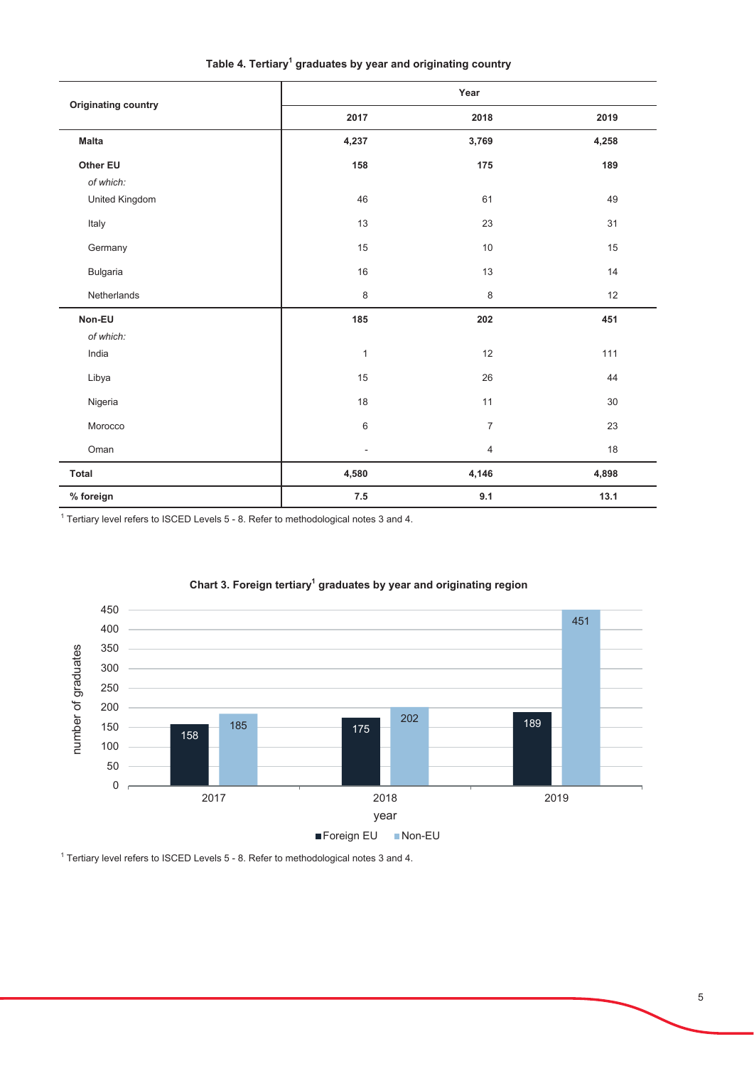| <b>Originating country</b> | Year           |                |       |  |  |
|----------------------------|----------------|----------------|-------|--|--|
|                            | 2017           | 2018           | 2019  |  |  |
| <b>Malta</b>               | 4,237          | 3,769          | 4,258 |  |  |
| Other EU                   | 158            | 175            | 189   |  |  |
| of which:                  |                |                |       |  |  |
| United Kingdom             | 46             | 61             | 49    |  |  |
| Italy                      | 13             | 23             | 31    |  |  |
| Germany                    | 15             | 10             | 15    |  |  |
| Bulgaria                   | 16             | 13             | 14    |  |  |
| Netherlands                | $\,8\,$        | 8              | 12    |  |  |
| Non-EU                     | 185            | 202            | 451   |  |  |
| of which:                  |                |                |       |  |  |
| India                      | $\mathbf{1}$   | 12             | $111$ |  |  |
| Libya                      | 15             | 26             | 44    |  |  |
| Nigeria                    | 18             | 11             | 30    |  |  |
| Morocco                    | 6              | $\overline{7}$ | 23    |  |  |
| Oman                       | $\blacksquare$ | 4              | 18    |  |  |
| <b>Total</b>               | 4,580          | 4,146          | 4,898 |  |  |
| % foreign                  | $\bf 7.5$      | 9.1            | 13.1  |  |  |

Table 4. Tertiary<sup>1</sup> graduates by year and originating country

 $^1$  Tertiary level refers to ISCED Levels 5 - 8. Refer to methodological notes 3 and 4.



### Chart 3. Foreign tertiary<sup>1</sup> graduates by year and originating region

 $^1$  Tertiary level refers to ISCED Levels 5 - 8. Refer to methodological notes 3 and 4.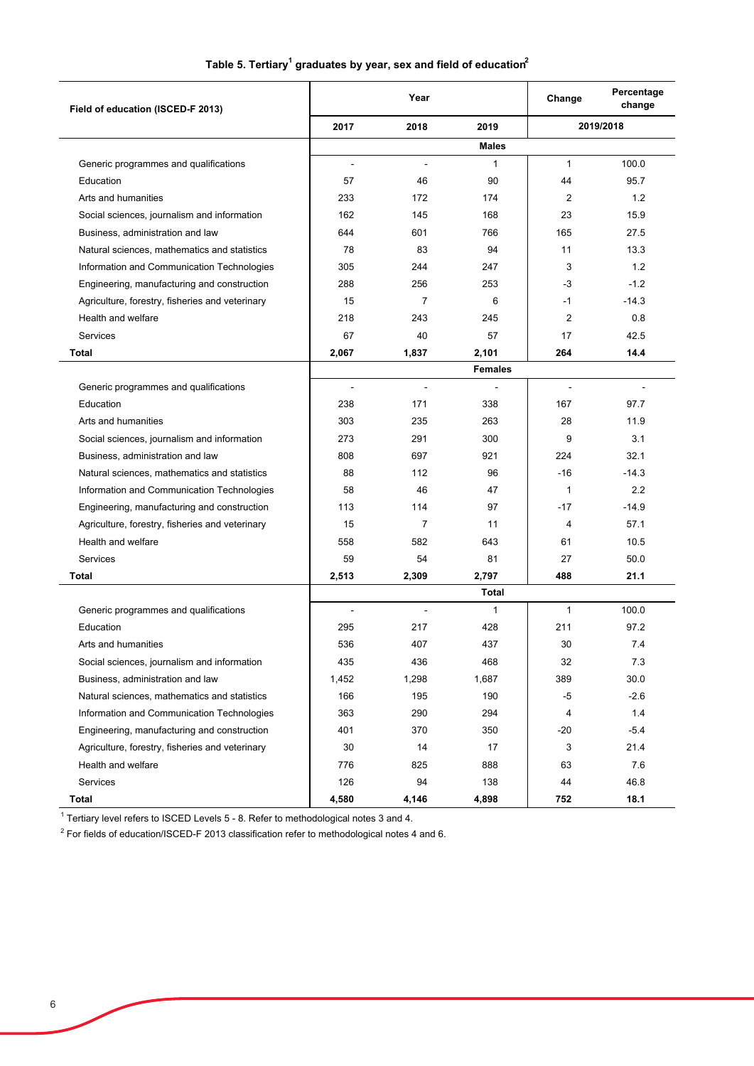|  |  | Table 5. Tertiary $^{\rm 1}$ graduates by year, sex and field of education $^{\rm 2}$ |
|--|--|---------------------------------------------------------------------------------------|
|--|--|---------------------------------------------------------------------------------------|

| Field of education (ISCED-F 2013)               |                | Year           |              | Change         | Percentage<br>change |
|-------------------------------------------------|----------------|----------------|--------------|----------------|----------------------|
|                                                 | 2017           | 2018           | 2019         |                | 2019/2018            |
|                                                 |                |                | <b>Males</b> |                |                      |
| Generic programmes and qualifications           | $\blacksquare$ | $\blacksquare$ | $\mathbf{1}$ | $\mathbf{1}$   | 100.0                |
| Education                                       | 57             | 46             | 90           | 44             | 95.7                 |
| Arts and humanities                             | 233            | 172            | 174          | 2              | 1.2                  |
| Social sciences, journalism and information     | 162            | 145            | 168          | 23             | 15.9                 |
| Business, administration and law                | 644            | 601            | 766          | 165            | 27.5                 |
| Natural sciences, mathematics and statistics    | 78             | 83             | 94           | 11             | 13.3                 |
| Information and Communication Technologies      | 305            | 244            | 247          | 3              | 1.2                  |
| Engineering, manufacturing and construction     | 288            | 256            | 253          | -3             | $-1.2$               |
| Agriculture, forestry, fisheries and veterinary | 15             | $\overline{7}$ | 6            | $-1$           | $-14.3$              |
| Health and welfare                              | 218            | 243            | 245          | $\overline{2}$ | 0.8                  |
| <b>Services</b>                                 | 67             | 40             | 57           | 17             | 42.5                 |
| <b>Total</b>                                    | 2,067          | 1,837          | 2,101        | 264            | 14.4                 |
|                                                 | <b>Females</b> |                |              |                |                      |
| Generic programmes and qualifications           |                | $\overline{a}$ |              |                |                      |
| Education                                       | 238            | 171            | 338          | 167            | 97.7                 |
| Arts and humanities                             | 303            | 235            | 263          | 28             | 11.9                 |
| Social sciences, journalism and information     | 273            | 291            | 300          | 9              | 3.1                  |
| Business, administration and law                | 808            | 697            | 921          | 224            | 32.1                 |
| Natural sciences, mathematics and statistics    | 88             | 112            | 96           | $-16$          | $-14.3$              |
| Information and Communication Technologies      | 58             | 46             | 47           | $\mathbf{1}$   | 2.2                  |
| Engineering, manufacturing and construction     | 113            | 114            | 97           | $-17$          | $-14.9$              |
| Agriculture, forestry, fisheries and veterinary | 15             | $\overline{7}$ | 11           | 4              | 57.1                 |
| Health and welfare                              | 558            | 582            | 643          | 61             | 10.5                 |
| <b>Services</b>                                 | 59             | 54             | 81           | 27             | 50.0                 |
| Total                                           | 2,513          | 2,309          | 2,797        | 488            | 21.1                 |
|                                                 |                |                | Total        |                |                      |
| Generic programmes and qualifications           | ÷,             |                | $\mathbf{1}$ | 1              | 100.0                |
| Education                                       | 295            | 217            | 428          | 211            | 97.2                 |
| Arts and humanities                             | 536            | 407            | 437          | $30\,$         | 7.4                  |
| Social sciences, journalism and information     | 435            | 436            | 468          | 32             | 7.3                  |
| Business, administration and law                | 1,452          | 1,298          | 1,687        | 389            | 30.0                 |
| Natural sciences, mathematics and statistics    | 166            | 195            | 190          | -5             | $-2.6$               |
| Information and Communication Technologies      | 363            | 290            | 294          | 4              | 1.4                  |
| Engineering, manufacturing and construction     | 401            | 370            | 350          | -20            | $-5.4$               |
| Agriculture, forestry, fisheries and veterinary | 30             | 14             | 17           | 3              | 21.4                 |
| Health and welfare                              | 776            | 825            | 888          | 63             | 7.6                  |
| Services                                        | 126            | 94             | 138          | 44             | 46.8                 |
| Total                                           | 4,580          | 4,146          | 4,898        | 752            | 18.1                 |

 $^{\rm 1}$  Tertiary level refers to ISCED Levels 5 - 8. Refer to methodological notes 3 and 4.

 $^{\rm 2}$  For fields of education/ISCED-F 2013 classification refer to methodological notes 4 and 6.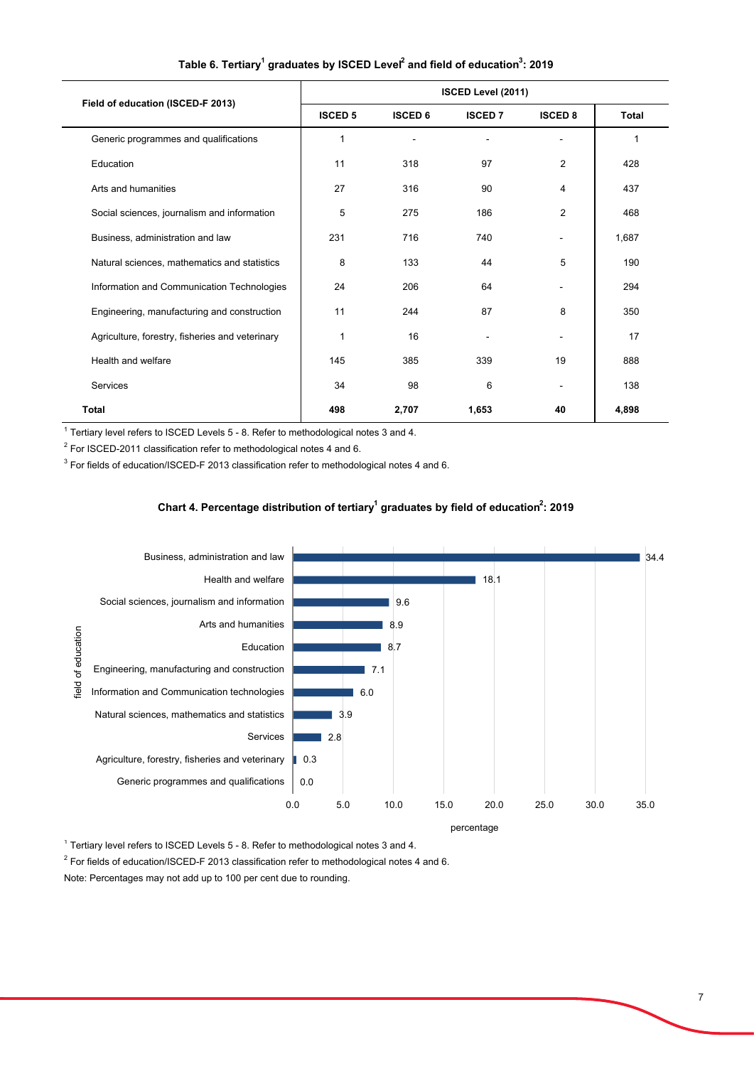| Field of education (ISCED-F 2013)               | ISCED Level (2011) |                |                |                |              |  |
|-------------------------------------------------|--------------------|----------------|----------------|----------------|--------------|--|
|                                                 | <b>ISCED 5</b>     | <b>ISCED 6</b> | <b>ISCED 7</b> | <b>ISCED 8</b> | <b>Total</b> |  |
| Generic programmes and qualifications           | 1                  |                |                |                | 1            |  |
| Education                                       | 11                 | 318            | 97             | 2              | 428          |  |
| Arts and humanities                             | 27                 | 316            | 90             | 4              | 437          |  |
| Social sciences, journalism and information     | 5                  | 275            | 186            | 2              | 468          |  |
| Business, administration and law                | 231                | 716            | 740            |                | 1,687        |  |
| Natural sciences, mathematics and statistics    | 8                  | 133            | 44             | 5              | 190          |  |
| Information and Communication Technologies      | 24                 | 206            | 64             |                | 294          |  |
| Engineering, manufacturing and construction     | 11                 | 244            | 87             | 8              | 350          |  |
| Agriculture, forestry, fisheries and veterinary | 1                  | 16             |                |                | 17           |  |
| Health and welfare                              | 145                | 385            | 339            | 19             | 888          |  |
| Services                                        | 34                 | 98             | 6              |                | 138          |  |
| <b>Total</b>                                    | 498                | 2,707          | 1,653          | 40             | 4,898        |  |

**Table 6. Tertiary1 graduates by ISCED Level2 and field of education3 : 2019**

 $^1$  Tertiary level refers to ISCED Levels 5 - 8. Refer to methodological notes 3 and 4.

 $^2$  For ISCED-2011 classification refer to methodological notes 4 and 6.

 $^3$  For fields of education/ISCED-F 2013 classification refer to methodological notes 4 and 6.

### Chart 4. Percentage distribution of tertiary<sup>1</sup> graduates by field of education<sup>2</sup>: 2019



 $^1$  Tertiary level refers to ISCED Levels 5 - 8. Refer to methodological notes 3 and 4.

 $^{\rm 2}$  For fields of education/ISCED-F 2013 classification refer to methodological notes 4 and 6.

Note: Percentages may not add up to 100 per cent due to rounding.